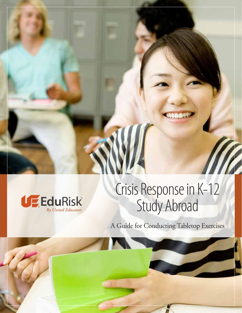

# Crisis Response in K-12 Study Abroad

A Guide for Conducting Tabletop Exercises

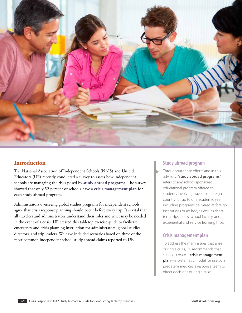

### **Introduction**

The National Association of Independent Schools (NAIS) and United Educators (UE) recently conducted a survey to assess how independent schools are managing the risks posed by **study abroad programs**. The survey showed that only 52 percent of schools have a **crisis management plan** for each study abroad program.

Administrators overseeing global studies programs for independent schools agree that crisis response planning should occur before every trip. It is vital that all travelers and administrators understand their roles and what may be needed in the event of a crisis. UE created this tabletop exercise guide to facilitate emergency and crisis planning instruction for administrators, global studies directors, and trip leaders. We have included scenarios based on three of the most common independent school study abroad claims reported to UE.

### **Study abroad program**

Throughout these efforts and in this advisory, "**study abroad programs**" refers to any school-sponsored educational program offered to students involving travel to a foreign country for up to one academic year, including programs delivered at foreign institutions or ad hoc, as well as shortterm trips led by school faculty, and experiential and service learning trips.

### **Crisis management plan**

To address the many issues that arise during a crisis, UE recommends that schools create a **crisis management plan**—a systematic model for use by a predetermined crisis response team to direct decisions during a crisis.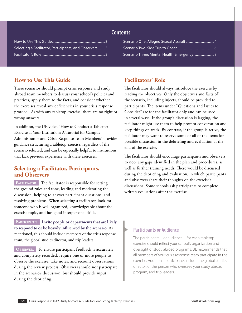| Selecting a Facilitator, Participants, and Observers 3 |
|--------------------------------------------------------|
|                                                        |

#### **Contents**

| Scenario Three: Mental Health Emergency 8 |  |
|-------------------------------------------|--|

### **How to Use This Guide**

These scenarios should prompt crisis response and study abroad team members to discuss your school's policies and practices, apply them to the facts, and consider whether the exercises reveal any deficiencies in your crisis response protocol. As with any tabletop exercise, there are no right or wrong answers.

In addition, the UE video "How to Conduct a Tabletop Exercise at Your Institution: A Tutorial for Campus Administrators and Crisis Response Team Members" provides guidance structuring a tabletop exercise, regardless of the scenario selected, and can be especially helpful to institutions that lack previous experience with these exercises.

### **Selecting a Facilitator, Participants, and Observers**

**Facilitator.** The facilitator is responsible for setting the ground rules and tone, leading and moderating the discussion, helping to answer participant questions, and resolving problems. When selecting a facilitator, look for someone who is well organized, knowledgeable about the exercise topic, and has good interpersonal skills.

PARTICIPANTS. Invite people or departments that are likely **to respond to or be heavily influenced by the scenario.** As mentioned, this should include members of the crisis response team, the global studies director, and trip leaders.

**Observer.** To ensure participant feedback is accurately and completely recorded, require one or more people to observe the exercise, take notes, and recount observations during the review process. Observers should not participate in the scenario's discussion, but should provide input during the debriefing.

### **Facilitators' Role**

The facilitator should always introduce the exercise by reading the objectives. Only the objectives and facts of the scenario, including injects, should be provided to participants. The items under "Questions and Issues to Consider" are for the facilitator only and can be used in several ways. If the group's discussion is lagging, the facilitator might use them to help prompt conversation and keep things on track. By contrast, if the group is active, the facilitator may want to reserve some or all of the items for possible discussion in the debriefing and evaluation at the end of the exercise.

The facilitator should encourage participants and observers to note any gaps identified in the plan and procedures, as well as further training needs. These would be discussed during the debriefing and evaluation, in which participants and observers share their thoughts on the exercise's discussions. Some schools ask participants to complete written evaluations after the exercise.

#### **Participants or Audience**

The participants—or audience—for each tabletop exercise should reflect your school's organization and oversight of study abroad programs. UE recommends that all members of your crisis response team participate in the exercise. Additional participants include the global studies director, or the person who oversees your study abroad program, and trip leaders.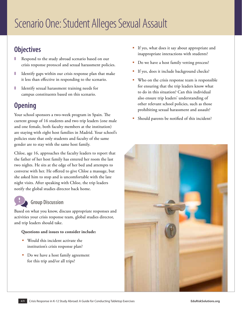# Scenario One: Student Alleges Sexual Assault

# **Objectives**

- Respond to the study abroad scenario based on our crisis response protocol and sexual harassment policies.
- Identify gaps within our crisis response plan that make it less than effective in responding to the scenario.
- Identify sexual harassment training needs for campus constituents based on this scenario.

# **Opening**

Your school sponsors a two-week program in Spain. The current group of 16 students and two trip leaders (one male and one female, both faculty members at the institution) are staying with eight host families in Madrid. Your school's policies state that only students and faculty of the same gender are to stay with the same host family.

Chloe, age 16, approaches the faculty leaders to report that the father of her host family has entered her room the last two nights. He sits at the edge of her bed and attempts to converse with her. He offered to give Chloe a massage, but she asked him to stop and is uncomfortable with the late night visits. After speaking with Chloe, the trip leaders notify the global studies director back home.

### **Group Discussion**

Based on what you know, discuss appropriate responses and activities your crisis response team, global studies director, and trip leaders should take.

- Would this incident activate the institution's crisis response plan?
- Do we have a host family agreement for this trip and/or all trips?
- If yes, what does it say about appropriate and inappropriate interactions with students?
- Do we have a host family vetting process?
- If yes, does it include background checks?
- Who on the crisis response team is responsible for ensuring that the trip leaders know what to do in this situation? Can this individual also ensure trip leaders' understanding of other relevant school policies, such as those prohibiting sexual harassment and assault?
- Should parents be notified of this incident?

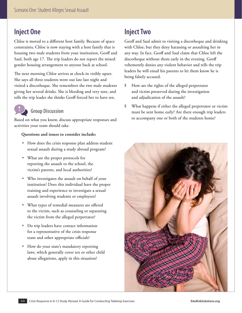# **Inject One**

Chloe is moved to a different host family. Because of space constraints, Chloe is now staying with a host family that is housing two male students from your institution, Geoff and Saul, both age 17. The trip leaders do not report the mixed gender housing arrangement to anyone back at school.

The next morning Chloe arrives at check-in visibly upset. She says all three students went out late last night and visited a discotheque. She remembers the two male students giving her several drinks. She is bleeding and very sore, and tells the trip leader she thinks Geoff forced her to have sex.

### **Group Discussion**

Based on what you know, discuss appropriate responses and activities your team should take.

#### **Questions and issues to consider include:**

- How does the crisis response plan address student sexual assault during a study abroad program?
- What are the proper protocols for reporting the assault to the school, the victim's parents, and local authorities?
- Who investigates the assault on behalf of your institution? Does this individual have the proper training and experience to investigate a sexual assault involving students or employees?
- What types of remedial measures are offered to the victim, such as counseling or separating the victim from the alleged perpetrator?
- **Do trip leaders have contact information** for a representative of the crisis response team and other appropriate officials?
- How do your state's mandatory reporting laws, which generally cover sex or other child abuse allegations, apply in this situation?

# **Inject Two**

Geoff and Saul admit to visiting a discotheque and drinking with Chloe, but they deny harassing or assaulting her in any way. In fact, Geoff and Saul claim that Chloe left the discotheque without them early in the evening. Geoff vehemently denies any violent behavior and tells the trip leaders he will email his parents to let them know he is being falsely accused.

- How are the rights of the alleged perpetrator and victim preserved during the investigation and adjudication of the assault?
- What happens if either the alleged perpetrator or victim must be sent home early? Are there enough trip leaders to accompany one or both of the students home?

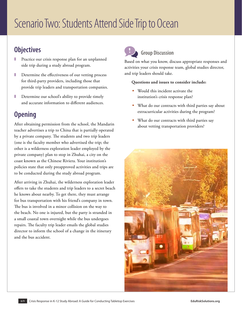# Scenario Two: Students Attend Side Trip to Ocean

### **Objectives**

- Practice our crisis response plan for an unplanned side trip during a study abroad program.
- Determine the effectiveness of our vetting process for third-party providers, including those that provide trip leaders and transportation companies.
- Determine our school's ability to provide timely and accurate information to different audiences.

# **Opening**

After obtaining permission from the school, the Mandarin teacher advertises a trip to China that is partially operated by a private company. The students and two trip leaders (one is the faculty member who advertised the trip; the other is a wilderness exploration leader employed by the private company) plan to stop in Zhuhai, a city on the coast known as the Chinese Riviera. Your institution's policies state that only preapproved activities and trips are to be conducted during the study abroad program.

After arriving in Zhuhai, the wilderness exploration leader offers to take the students and trip leaders to a secret beach he knows about nearby. To get there, they must arrange for bus transportation with his friend's company in town. The bus is involved in a minor collision on the way to the beach. No one is injured, but the party is stranded in a small coastal town overnight while the bus undergoes repairs. The faculty trip leader emails the global studies director to inform the school of a change in the itinerary and the bus accident.

# **Group Discussion**

Based on what you know, discuss appropriate responses and activities your crisis response team, global studies director, and trip leaders should take.

- **Would this incident activate the** institution's crisis response plan?
- What do our contracts with third parties say about extracurricular activities during the program?
- What do our contracts with third parties say about vetting transportation providers?

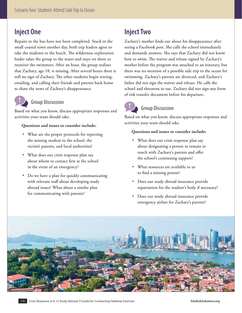# **Inject One**

Repairs to the bus have not been completed. Stuck in the small coastal town another day, both trip leaders agree to take the students to the beach. The wilderness exploration leader takes the group to the water and stays on shore to monitor the swimmers. After an hour, the group realizes that Zachary, age 18, is missing. After several hours there is still no sign of Zachary. The other students begin texting, emailing, and calling their friends and parents back home to share the news of Zachary's disappearance.



### **Group Discussion**

Based on what you know, discuss appropriate responses and activities your team should take.

#### **Questions and issues to consider include:**

- What are the proper protocols for reporting the missing student to the school, the victim's parents, and local authorities?
- What does our crisis response plan say about whom to contact first at the school in the event of an emergency?
- Do we have a plan for quickly communicating with relevant staff about developing study abroad issues? What about a similar plan for communicating with parents?

## **Inject Two**

Zachary's mother finds out about his disappearance after seeing a Facebook post. She calls the school immediately and demands answers. She says that Zachary did not know how to swim. The waiver and release signed by Zachary's mother before the program was attached to an itinerary, but there was no mention of a possible side trip to the ocean for swimming. Zachary's parents are divorced, and Zachary's father did not sign the waiver and release. He calls the school and threatens to sue. Zachary did not sign any form of risk transfer document before his departure.

# **Group Discussion**

Based on what you know, discuss appropriate responses and activities your team should take.

- What does our crisis response plan say about designating a person to remain in touch with Zachary's parents and offer the school's continuing support?
- What resources are available to us to find a missing person?
- **Does our study abroad insurance provide** repatriation for the student's body if necessary?
- **Does our study abroad insurance provide** emergency airfare for Zachary's parents?

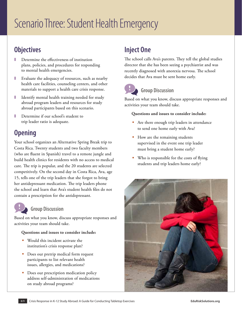## **Objectives**

- Determine the effectiveness of institution plans, policies, and procedures for responding to mental health emergencies.
- Evaluate the adequacy of resources, such as nearby health care facilities, counseling centers, and other materials to support a health care crisis response.
- Identify mental health training needed for study abroad program leaders and resources for study abroad participants based on this scenario.
- Determine if our school's student to trip leader ratio is adequate.

# **Opening**

Your school organizes an Alternative Spring Break trip to Costa Rica. Twenty students and two faculty members (who are fluent in Spanish) travel to a remote jungle and build health clinics for residents with no access to medical care. The trip is popular, and the 20 students are selected competitively. On the second day in Costa Rica, Ava, age 15, tells one of the trip leaders that she forgot to bring her antidepressant medication. The trip leaders phone the school and learn that Ava's student health files do not contain a prescription for the antidepressant.

# **Group Discussion**

Based on what you know, discuss appropriate responses and activities your team should take.

#### **Questions and issues to consider include:**

- Would this incident activate the institution's crisis response plan?
- **Does our pretrip medical form request** participants to list relevant health issues, allergies, and medications?
- Does our prescription medication policy address self-administration of medications on study abroad programs?

# **Inject One**

The school calls Ava's parents. They tell the global studies director that she has been seeing a psychiatrist and was recently diagnosed with anorexia nervosa. The school decides that Ava must be sent home early.



### **Group Discussion**

Based on what you know, discuss appropriate responses and activities your team should take.

- Are there enough trip leaders in attendance to send one home early with Ava?
- **How are the remaining students** supervised in the event one trip leader must bring a student home early?
- Who is responsible for the costs of flying students and trip leaders home early?